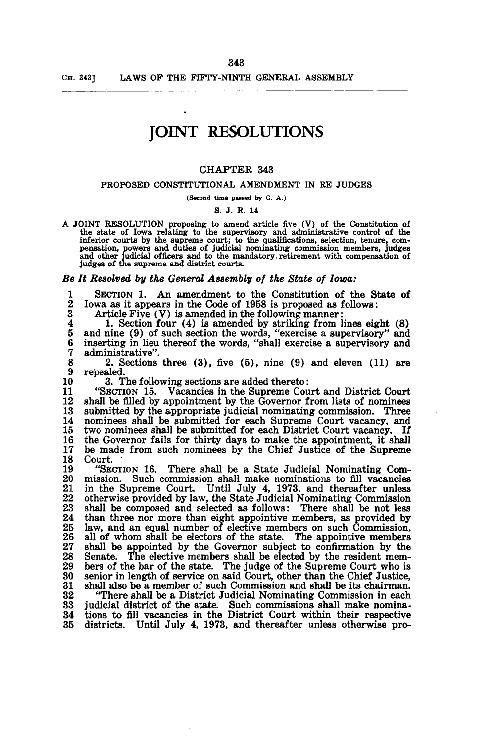# **JOINT RESOLUTIONS**

#### CHAPTER 343

#### PROPOSED CONSTITUTIONAL AMENDMENT IN RE JUDGES

(Second time paaaed by G. A.)

#### S. J. R. 14

A JOINT RESOLUTION proposing to amend article five (V) of the Constitution of the state of Iowa relating to the supervisory and administrative control of the inferior courts by the supreme court; to the qualifications, selection, tenure, compensation, powers and duties of judicial nominating commission members, judges and other judicial officers and to the mandatory retirement judges of the supreme and district courts.

#### Be It Resolved by the General Assembly of the *State* of *Iowa*:

1 SECTION 1. An amendment to the Constitution of the State of 2 Iowa as it appears in the Code of 1958 is proposed as follows: 2 Iowa as it appears in the Code of 1958 is proposed as follows:

3 Article Five  $(V)$  is amended in the following manner:<br>4 1. Section four  $(4)$  is amended by striking from l

4 1. Section four (4) is amended by striking from lines eight (8) 5 and nine (9) of such section the words, "exercise a supervisory" and 5 and nine (9) of such section the words, "exercise a supervisory" and<br>6 inserting in lieu thereof the words, "shall exercise a supervisory and 6 inserting in lieu thereof the words, "shall exercise a supervisory and 7 administrative".

8 2. Sections three (3), five (5), nine (9) and eleven (11) are

10 3. The following sections are added thereto:<br>11 SECTION 15. Vacancies in the Supreme Cou

11 "SECTION 15. Vacancies in the Supreme Court and District Court 12 shall be filled by appointment by the Governor from lists of nominees 13 submitted by the appropriate judicial nominating commission. Three 13 submitted by the appropriate judicial nominating commission. Three 14 nominees shall be submitted for each Supreme Court vacancy, and 15 two nominees shall be submitted for each District Court vacancy. If 15 two nominees shall be submitted for each District Court vacancy. If 16 the Governor fails for thirty days to make the appointment, it shall 17 be made from such nominees by the Chief Justice of the Supreme 17 be made from such nominees by the Chief Justice of the Supreme 18 Court.<br>19 "SEC

19 "SECTION 16. There shall be a State Judicial Nominating Com-20 mission. Such commission shall make nominations to fill vacancies 21 in the Supreme Court. Until July 4, 1973, and thereafter unless 21 in the Supreme Court. Until July 4, 1973, and thereafter unless 22 otherwise provided by law, the State Judicial Nominating Commission 22 otherwise provided by law, the State Judicial Nominating Commission 23 shall be composed and. selected as follows: There shall be not less 24 than three nor more than eight appointive members, as provided by 25 law, and an equal number of elective members on such Commission, 26 all of whom shall be electors of the state. The appointive members 26 all of whom shall be electors of the state. The appointive members 27 shall be appointed by the Governor subject to confirmation by the 27 shall be appointed by the Governor subject to confirmation by the 28 Senate. The elective members shall be elected by the resident mem-28 Senate. The elective members shall be elected by the resident mem-<br>29 bers of the bar of the state. The judge of the Supreme Court who is 29 bers of the bar of the state. The judge of the Supreme Court who is 30 senior in length of service on said Court, other than the Chief Justice. 30 senior in length of service on said Court, other than the Chief Justice, 31 shall also be a member of such Commission and shall be its chairman.

32 "There shall be a District Judicial Nominating Commission in each 33 judicial district of the state. Such commissions shall make nomina-34 tions to fill vacancies in the District Court. within their respective 35 districts. Until July 4, 1973, and thereafter unless otherwise pro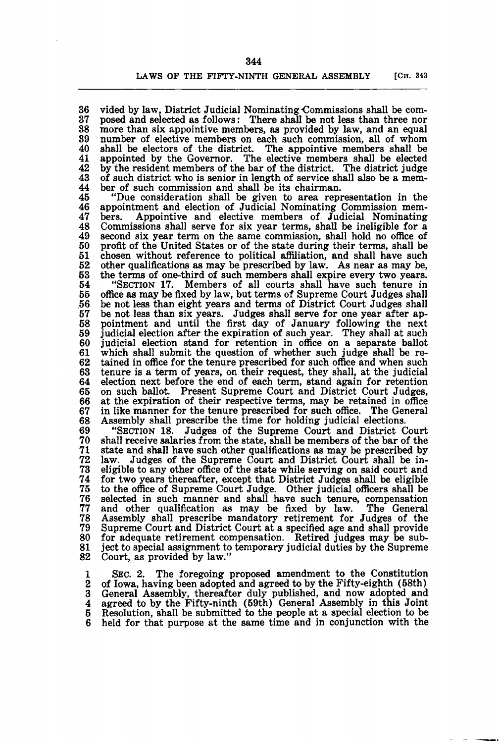36 vided by law, District Judicial Nominating-Commissions shall be com-37 posed and selected as follows: There shall be not less than three nor 38 more than six appointive members, as provided by law, and an equal 39 number of elective members on each such commission, all of whom 40 shall be electors of the district. The appointive members shall be elected 41 appointed by the Governor. The elective members shall be elected 41 appointed by the Governor. The elective members shall be elected 42 by the resident members of the bar of the district. The district judge 42 by the resident members of the bar of the district. The district judge of such district who is senior in length of service shall also be a mem-<br>44 ber of such commission and shall be its chairman. 44 ber of such commission and shall be its chairman.<br>45 <br>The consideration shall be given to area repr

45 "Due consideration shall be given to area representation in the 46 appointment and election of Judicial Nominating Commission mem-47 bers. Appointive and elective members of Judicial Nominating 48 Commissions shall serve for six year terms, shall be ineligible for a 49 second six year term on the same commission, shall hold no office of 49 second six year term on the same commission, shall hold no office of 50 profit of the United States or of the state during their terms, shall be 50 profit of the United States or of the state during their terms, shall be 51 chosen without reference to political affiliation, and shall have such 51 chosen without reference to political affiliation, and shall have such 52 other qualifications as may be prescribed by law. As near as may be. 52 other qualifications as may be prescribed by law. As near as may be, 53 the terms of one-third of such members shall expire every two years. 53 the terms of one-third of such members shall expire every two years.<br>54 "SECTION 17. Members of all courts shall have such tenure in<br>55 office as may be fixed by law, but terms of Supreme Court Judges shall 55 office as may be fixed by law, but terms of Supreme Court Judges shall<br>56 be not less than eight years and terms of District Court Judges shall 56 be not less than eight years and terms of District Court Judges shall 57 be not less than six years. Judges shall serve for one year after ap-58 pointment and until the first day of January following the next<br>59 judicial election after the expiration of such year. They shall at such 59 judicial election after the expiration of such year. They shall at such  $60$  judicial election stand for retention in office on a separate ballot 60 judicial election stand for retention in office on a separate ballot 61 which shall submit the question of whether such judge shall be re- $62$  tained in office for the tenure prescribed for such office and when such 62 tained in office for the tenure prescribed for such office and when such  $63$  tenure is a term of years, on their request, they shall, at the judicial 63 tenure is a term of years, on their request, they shall, at the judicial election next before the end of each term, stand again for retention 65 on such ballot. Present Supreme Court and District Court Judges. 65 on such ballot. Present Supreme Court and District Court Judges, 66 at the expiration of their respective terms, may be retained in office 67 in like manner for the tenure prescribed for such office. The General 67 in like manner for the tenure prescribed for such office. The General 68 Assembly shall prescribe the time for holding judicial elections. 68 Assembly shall prescribe the time for holding judicial elections.<br>69 <br>
"SECTION 18. Judges of the Supreme Court and District (

69 "SECTION 18. Judges of the Supreme Court and District Court 70 shall receive salaries from the state, shall be members of the bar of the 71 state and shall have such other qualifications as may be prescribed by 72 law. Judges of the Supreme Court and District Court shall be in-73 eligible to any other office of the state while serving on said court and 74 for two years thereafter, except that District Judges shall be eligible 75 to the office of Supreme Court Judge. Other judicial officers shall be 76 selected in such manner and shall have such tenure, compensation 77 and other qualification as may be fixed by law. The General 78 Assembly shall prescribe mandatory retirement for Judges of the 79 Supreme Court and District Court at a specified age and shall provide 80 for adequate retirement compensation. Retired judges may be sub-<br>81 ject to special assignment to temporary judicial duties by the Supreme 81 ject to special assignment to temporary judicial duties by the Supreme 82 Court, as provided by law." Court, as provided by law."

1 SEC. 2. The foregoing proposed amendment to the Constitution<br>2 of Iowa, having been adopted and agreed to by the Fifty-eighth (58th) 2 of Iowa, having been adopted and agreed to by the Fifty-eighth (58th)<br>3 General Assembly, thereafter duly published, and now adopted and 3 General Assembly, thereafter duly published, and now adopted and 4 agreed to by the Fifty-ninth (59th) General Assembly in this Joint 4 agreed to by the Fifty-ninth (59th) General Assembly in this Joint<br>5 Resolution, shall be submitted to the people at a special election to be held for that purpose at the same time and in conjunction with the

344